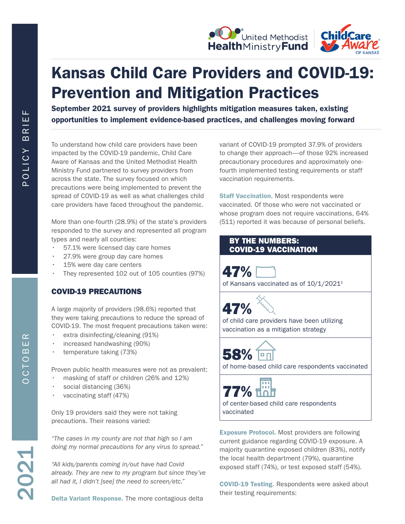



# Kansas Child Care Providers and COVID-19: Prevention and Mitigation Practices

September 2021 survey of providers highlights mitigation measures taken, existing opportunities to implement evidence-based practices, and challenges moving forward

To understand how child care providers have been impacted by the COVID-19 pandemic, Child Care Aware of Kansas and the United Methodist Health Ministry Fund partnered to survey providers from across the state. The survey focused on which precautions were being implemented to prevent the spread of COVID-19 as well as what challenges child care providers have faced throughout the pandemic.

More than one-fourth (28.9%) of the state's providers responded to the survey and represented all program types and nearly all counties:

- 57.1% were licensed day care homes
- 27.9% were group day care homes
- 15% were day care centers
- They represented 102 out of 105 counties (97%)

# COVID-19 PRECAUTIONS

A large majority of providers (98.6%) reported that they were taking precautions to reduce the spread of COVID-19. The most frequent precautions taken were:

- extra disinfecting/cleaning (91%)
- increased handwashing (90%)
- temperature taking (73%)

Proven public health measures were not as prevalent:

- masking of staff or children (26% and 12%)
- social distancing (36%)
- vaccinating staff (47%)

Only 19 providers said they were not taking precautions. Their reasons varied:

*"The cases in my county are not that high so I am doing my normal precautions for any virus to spread."*

*"All kids/parents coming in/out have had Covid already. They are new to my program but since they've all had it, I didn't [see] the need to screen/etc."*

Delta Variant Response. The more contagious delta

variant of COVID-19 prompted 37.9% of providers to change their approach—of those 92% increased precautionary procedures and approximately onefourth implemented testing requirements or staff vaccination requirements.

**Staff Vaccination.** Most respondents were vaccinated. Of those who were not vaccinated or whose program does not require vaccinations, 64% (511) reported it was because of personal beliefs.

# BY THE NUMBERS: COVID-19 VACCINATION

47%

of Kansans vaccinated as of 10/1/2021<sup>1</sup>

47%

of child care providers have been utilizing vaccination as a mitigation strategy



of home-based child care respondents vaccinated



of center-based child care respondents vaccinated

Exposure Protocol. Most providers are following current guidance regarding COVID-19 exposure. A majority quarantine exposed children (83%), notify the local health department (79%), quarantine exposed staff (74%), or test exposed staff (54%).

COVID-19 Testing. Respondents were asked about their testing requirements: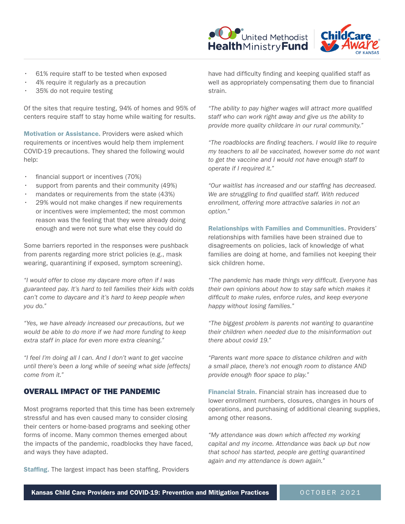



- 61% require staff to be tested when exposed
- 4% require it regularly as a precaution
- 35% do not require testing

Of the sites that require testing, 94% of homes and 95% of centers require staff to stay home while waiting for results.

Motivation or Assistance. Providers were asked which requirements or incentives would help them implement COVID-19 precautions. They shared the following would help:

- financial support or incentives (70%)
- support from parents and their community (49%)
- mandates or requirements from the state (43%)
- 29% would not make changes if new requirements or incentives were implemented; the most common reason was the feeling that they were already doing enough and were not sure what else they could do

Some barriers reported in the responses were pushback from parents regarding more strict policies (e.g., mask wearing, quarantining if exposed, symptom screening).

*"I would offer to close my daycare more often if I was guaranteed pay. It's hard to tell families their kids with colds can't come to daycare and it's hard to keep people when you do."*

*"Yes, we have already increased our precautions, but we would be able to do more if we had more funding to keep extra staff in place for even more extra cleaning."*

*"I feel I'm doing all I can. And I don't want to get vaccine until there's been a long while of seeing what side [effects] come from it."*

## OVERALL IMPACT OF THE PANDEMIC

Most programs reported that this time has been extremely stressful and has even caused many to consider closing their centers or home-based programs and seeking other forms of income. Many common themes emerged about the impacts of the pandemic, roadblocks they have faced, and ways they have adapted.

**Staffing.** The largest impact has been staffing. Providers

have had difficulty finding and keeping qualified staff as well as appropriately compensating them due to financial strain.

*"The ability to pay higher wages will attract more qualified staff who can work right away and give us the ability to provide more quality childcare in our rural community."*

*"The roadblocks are finding teachers. I would like to require my teachers to all be vaccinated, however some do not want to get the vaccine and I would not have enough staff to operate if I required it."*

*"Our waitlist has increased and our staffing has decreased. We are struggling to find qualified staff. With reduced enrollment, offering more attractive salaries in not an option."*

Relationships with Families and Communities. Providers' relationships with families have been strained due to disagreements on policies, lack of knowledge of what families are doing at home, and families not keeping their sick children home.

*"The pandemic has made things very difficult. Everyone has their own opinions about how to stay safe which makes it difficult to make rules, enforce rules, and keep everyone happy without losing families."*

*"The biggest problem is parents not wanting to quarantine their children when needed due to the misinformation out there about covid 19."*

*"Parents want more space to distance children and with a small place, there's not enough room to distance AND provide enough floor space to play."*

Financial Strain. Financial strain has increased due to lower enrollment numbers, closures, changes in hours of operations, and purchasing of additional cleaning supplies, among other reasons.

*"My attendance was down which affected my working capital and my income. Attendance was back up but now that school has started, people are getting quarantined again and my attendance is down again."*